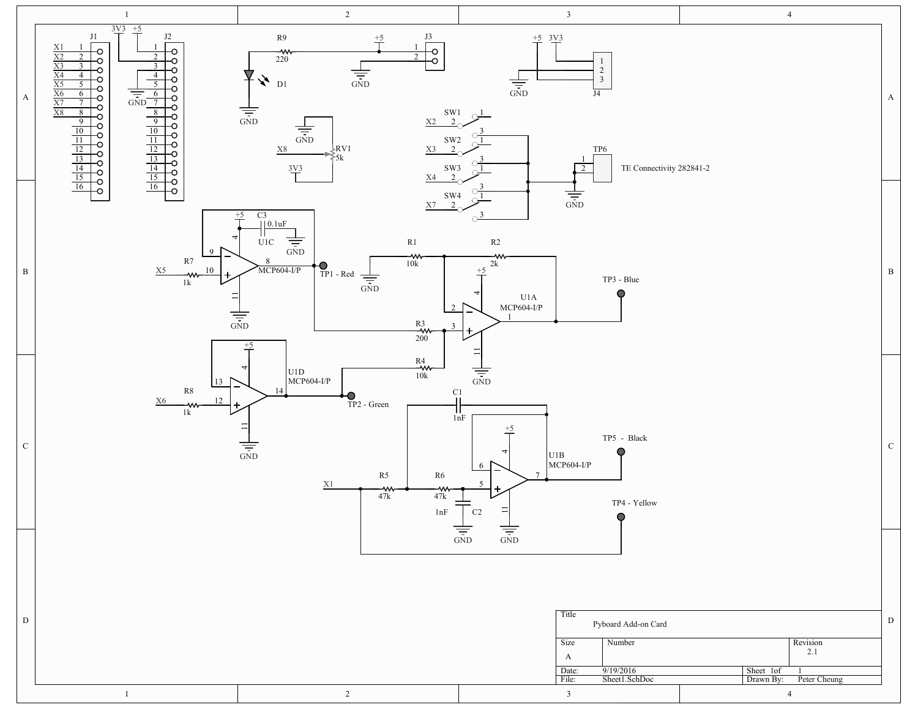